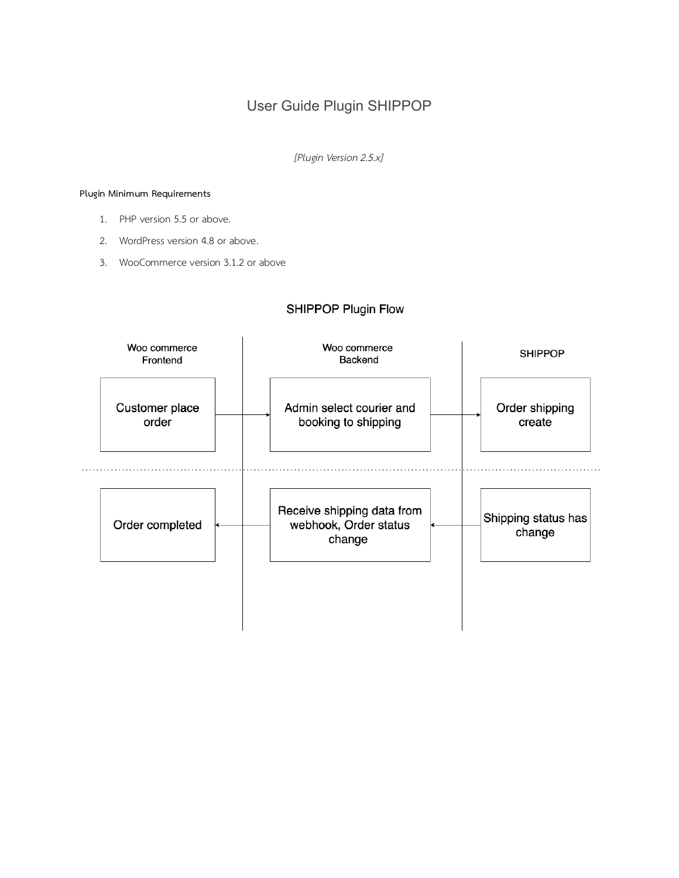# User Guide Plugin SHIPPOP

*[Plugin Version 2.5.x]*

## **Plugin Minimum Requirements**

- 1. PHP version 5.5 or above.
- 2. WordPress version 4.8 or above.
- 3. WooCommerce version 3.1.2 or above

# SHIPPOP Plugin Flow

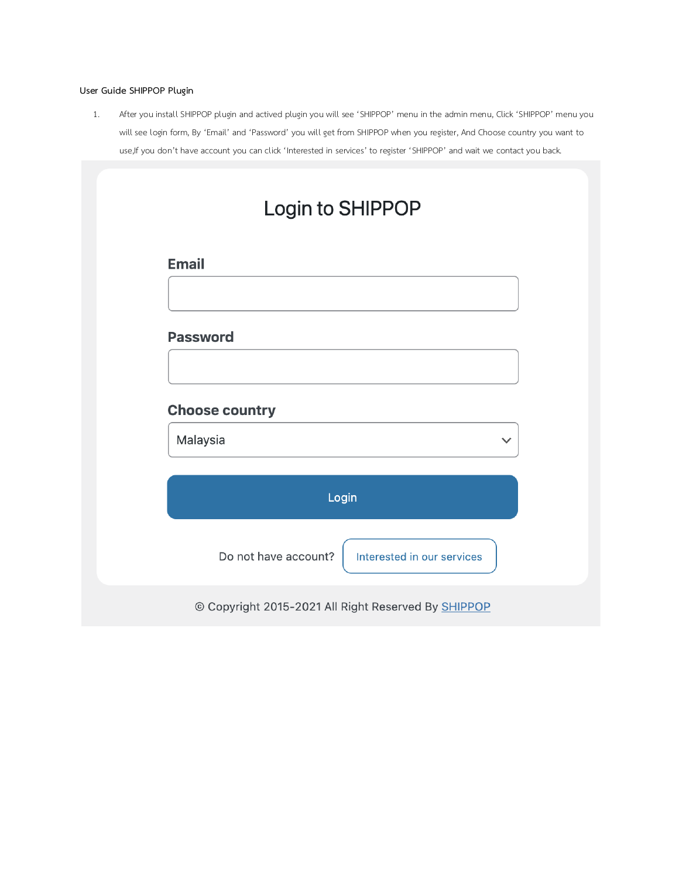# **User Guide SHIPPOP Plugin**

1. After you install SHIPPOP plugin and actived plugin you will see 'SHIPPOP' menu in the admin menu, Click 'SHIPPOP' menu you will see login form, By 'Email' and 'Password' you will get from SHIPPOP when you register, And Choose country you want to use,If you don't have account you can click 'Interested in services' to register 'SHIPPOP' and wait we contact you back.

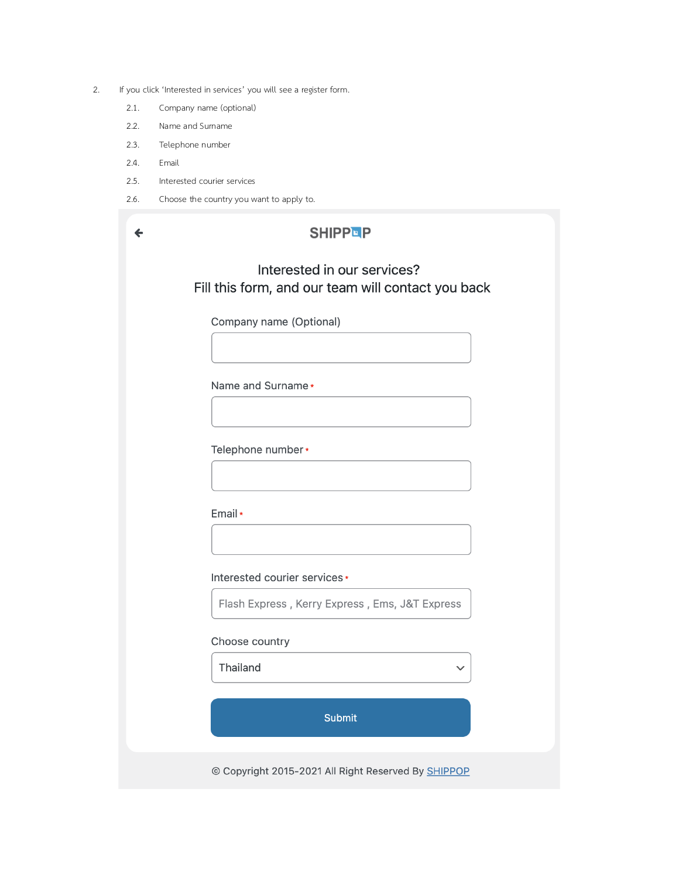- 2. If you click 'Interested in services' you will see a register form.
	- 2.1. Company name (optional)
	- 2.2. Name and Surname
	- 2.3. Telephone number
	- 2.4. Email
	- 2.5. Interested courier services
	- 2.6. Choose the country you want to apply to.

| <b>SHIPPEP</b>                                                                    |  |
|-----------------------------------------------------------------------------------|--|
| Interested in our services?<br>Fill this form, and our team will contact you back |  |
| Company name (Optional)                                                           |  |
| Name and Surname *                                                                |  |
| Telephone number*                                                                 |  |
| Email *                                                                           |  |
| Interested courier services*                                                      |  |
| Flash Express, Kerry Express, Ems, J&T Express<br>Choose country                  |  |
| Thailand                                                                          |  |
| <b>Submit</b><br>© Copyright 2015-2021 All Right Reserved By SHIPPOP              |  |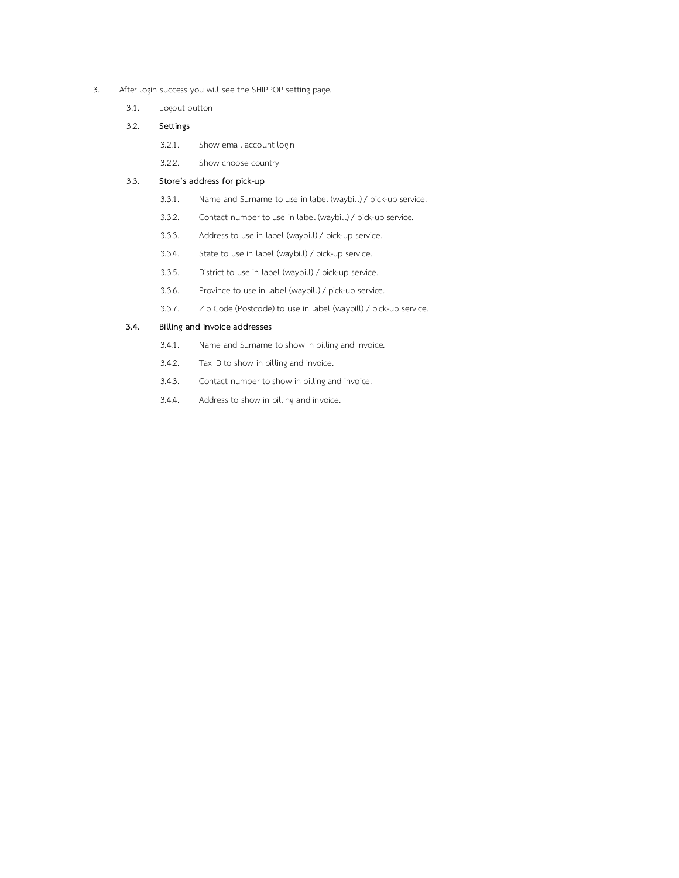- 3. After login success you will see the SHIPPOP setting page.
	- 3.1. Logout button
	- 3.2. **Settings**
		- 3.2.1. Show email account login
		- 3.2.2. Show choose country

#### 3.3. **Store's address for pick-up**

- 3.3.1. Name and Surname to use in label (waybill) / pick-up service.
- 3.3.2. Contact number to use in label (waybill) / pick-up service.
- 3.3.3. Address to use in label (waybill) / pick-up service.
- 3.3.4. State to use in label (waybill) / pick-up service.
- 3.3.5. District to use in label (waybill) / pick-up service.
- 3.3.6. Province to use in label (waybill) / pick-up service.
- 3.3.7. Zip Code (Postcode) to use in label (waybill) / pick-up service.

### **3.4. Billing and invoice addresses**

- 3.4.1. Name and Surname to show in billing and invoice.
- 3.4.2. Tax ID to show in billing and invoice.
- 3.4.3. Contact number to show in billing and invoice.
- 3.4.4. Address to show in billing and invoice.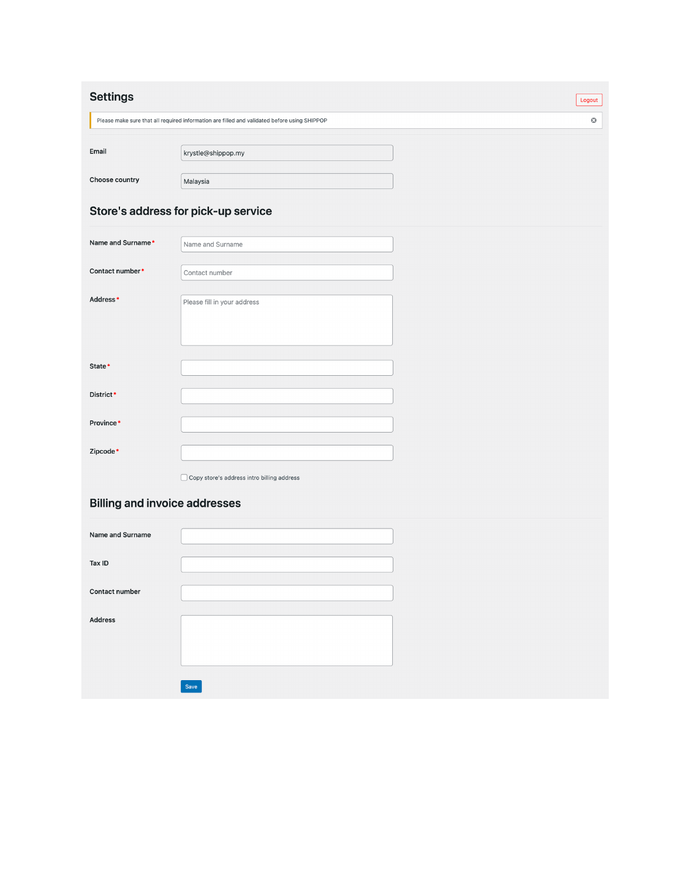| <b>Settings</b><br>Logout                                                                                        |                                            |  |  |
|------------------------------------------------------------------------------------------------------------------|--------------------------------------------|--|--|
| $\mathbf{\odot}$<br>Please make sure that all required information are filled and validated before using SHIPPOP |                                            |  |  |
| Email                                                                                                            | krystle@shippop.my                         |  |  |
| Choose country                                                                                                   | Malaysia                                   |  |  |
| Store's address for pick-up service                                                                              |                                            |  |  |
| Name and Surname*                                                                                                | Name and Surname                           |  |  |
| Contact number*                                                                                                  | Contact number                             |  |  |
| Address*                                                                                                         | Please fill in your address                |  |  |
| State*                                                                                                           |                                            |  |  |
| District*                                                                                                        |                                            |  |  |
| Province*                                                                                                        |                                            |  |  |
| Zipcode*                                                                                                         |                                            |  |  |
|                                                                                                                  | Copy store's address intro billing address |  |  |
| <b>Billing and invoice addresses</b>                                                                             |                                            |  |  |
| Name and Surname                                                                                                 |                                            |  |  |
| Tax ID                                                                                                           |                                            |  |  |
| Contact number                                                                                                   |                                            |  |  |
| <b>Address</b>                                                                                                   | Save                                       |  |  |